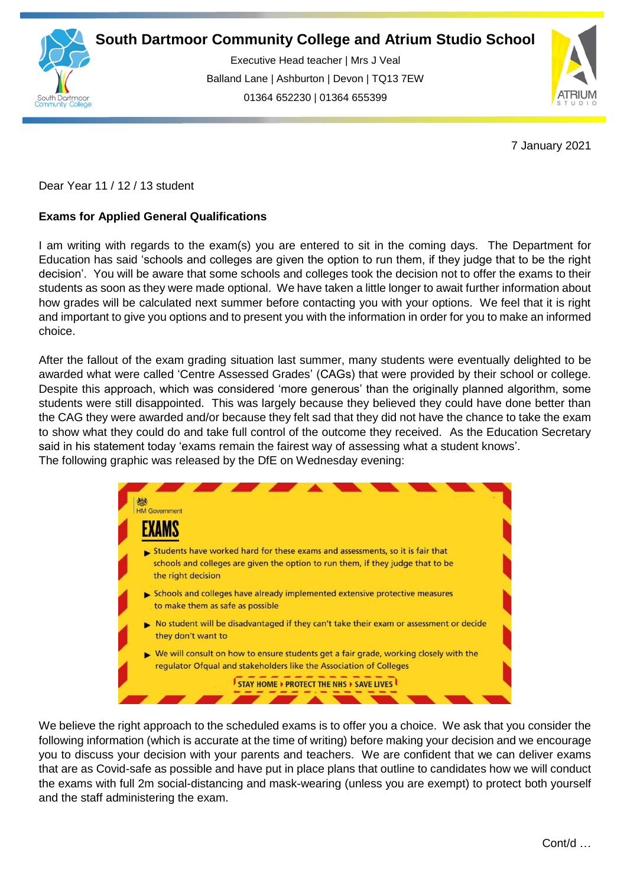

Executive Head teacher | Mrs J Veal Balland Lane | Ashburton | Devon | TQ13 7EW 01364 652230 | 01364 655399

ww.south.co.uk | [www.atrium-studio.co.uk](http://www.atrium-studio.co.uk/) | www.atrium-studio.co.uk



7 January 2021

Dear Year 11 / 12 / 13 student

## **Exams for Applied General Qualifications**

I am writing with regards to the exam(s) you are entered to sit in the coming days. The Department for Education has said 'schools and colleges are given the option to run them, if they judge that to be the right decision'. You will be aware that some schools and colleges took the decision not to offer the exams to their students as soon as they were made optional. We have taken a little longer to await further information about how grades will be calculated next summer before contacting you with your options. We feel that it is right and important to give you options and to present you with the information in order for you to make an informed choice.

After the fallout of the exam grading situation last summer, many students were eventually delighted to be awarded what were called 'Centre Assessed Grades' (CAGs) that were provided by their school or college. Despite this approach, which was considered 'more generous' than the originally planned algorithm, some students were still disappointed. This was largely because they believed they could have done better than the CAG they were awarded and/or because they felt sad that they did not have the chance to take the exam to show what they could do and take full control of the outcome they received. As the Education Secretary said in his statement today 'exams remain the fairest way of assessing what a student knows'. The following graphic was released by the DfE on Wednesday evening:



We believe the right approach to the scheduled exams is to offer you a choice. We ask that you consider the following information (which is accurate at the time of writing) before making your decision and we encourage you to discuss your decision with your parents and teachers. We are confident that we can deliver exams that are as Covid-safe as possible and have put in place plans that outline to candidates how we will conduct the exams with full 2m social-distancing and mask-wearing (unless you are exempt) to protect both yourself and the staff administering the exam.